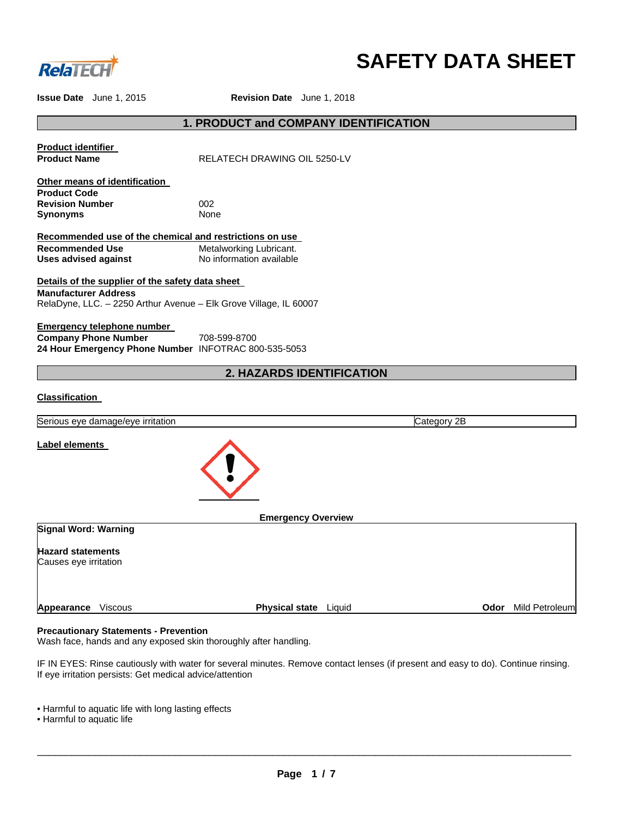

# **SAFETY DATA SHEET**

**Issue Date** June 1, 2015 **Revision Date** June 1, 2018

# **1. PRODUCT and COMPANY IDENTIFICATION**

**Product identifier** 

**RELATECH DRAWING OIL 5250-LV** 

**Other means of identification Product Code Revision Number** 002<br>**Synonyms** None **Synonyms** 

**Recommended use of the chemical and restrictions on use Recommended Use 6 Metalworking Lubricant.**<br> **Uses advised against** Mo information available **Uses advised against** 

**Details of the supplier of the safety data sheet Manufacturer Address** RelaDyne, LLC. – 2250 Arthur Avenue – Elk Grove Village, IL 60007

**Emergency telephone number Company Phone Number 708-599-8700 24 Hour Emergency Phone Number** INFOTRAC 800-535-5053

# **2. HAZARDS IDENTIFICATION**

# **Classification**

| Serious eye damage/eye irritation                 |                                 | Category 2B |                |
|---------------------------------------------------|---------------------------------|-------------|----------------|
| Label elements                                    |                                 |             |                |
| <b>Signal Word: Warning</b>                       | <b>Emergency Overview</b>       |             |                |
|                                                   |                                 |             |                |
| <b>Hazard statements</b><br>Causes eye irritation |                                 |             |                |
| <b>Viscous</b><br>Appearance                      | <b>Physical state</b><br>Liquid | Odor        | Mild Petroleum |

#### **Precautionary Statements - Prevention**

Wash face, hands and any exposed skin thoroughly after handling.

IF IN EYES: Rinse cautiously with water for several minutes. Remove contact lenses (if present and easy to do). Continue rinsing. If eye irritation persists: Get medical advice/attention

- Harmful to aquatic life with long lasting effects
- Harmful to aquatic life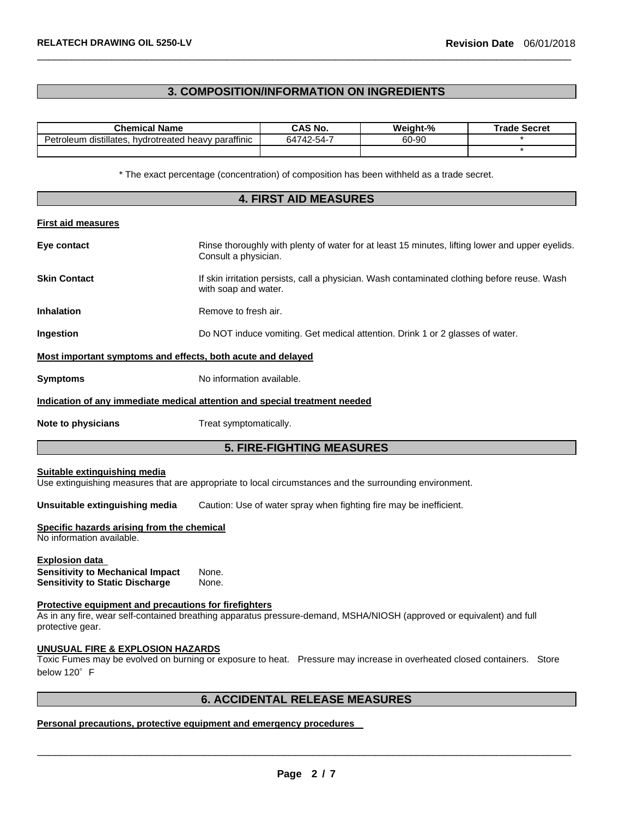# **3. COMPOSITION/INFORMATION ON INGREDIENTS**

 $\overline{\phantom{a}}$  , and the set of the set of the set of the set of the set of the set of the set of the set of the set of the set of the set of the set of the set of the set of the set of the set of the set of the set of the s

| <b>Chemical Name</b>                                 | CAS No.    | Weight-% | <b>Trade Secret</b> |
|------------------------------------------------------|------------|----------|---------------------|
| Petroleum distillates, hydrotreated heavy paraffinic | 64742-54-7 | 60-90    |                     |
|                                                      |            |          |                     |

\* The exact percentage (concentration) of composition has been withheld as a trade secret.

| <b>4. FIRST AID MEASURES</b>                                                                                |                                                                                                                         |  |  |
|-------------------------------------------------------------------------------------------------------------|-------------------------------------------------------------------------------------------------------------------------|--|--|
| <b>First aid measures</b>                                                                                   |                                                                                                                         |  |  |
| Eye contact                                                                                                 | Rinse thoroughly with plenty of water for at least 15 minutes, lifting lower and upper eyelids.<br>Consult a physician. |  |  |
| <b>Skin Contact</b>                                                                                         | If skin irritation persists, call a physician. Wash contaminated clothing before reuse. Wash<br>with soap and water.    |  |  |
| <b>Inhalation</b>                                                                                           | Remove to fresh air.                                                                                                    |  |  |
| <b>Ingestion</b>                                                                                            | Do NOT induce vomiting. Get medical attention. Drink 1 or 2 glasses of water.                                           |  |  |
| Most important symptoms and effects, both acute and delayed                                                 |                                                                                                                         |  |  |
| <b>Symptoms</b>                                                                                             | No information available.                                                                                               |  |  |
|                                                                                                             | Indication of any immediate medical attention and special treatment needed                                              |  |  |
| Note to physicians                                                                                          | Treat symptomatically.                                                                                                  |  |  |
|                                                                                                             | <b>5. FIRE-FIGHTING MEASURES</b>                                                                                        |  |  |
| Suitable extinguishing media                                                                                | Use extinguishing measures that are appropriate to local circumstances and the surrounding environment.                 |  |  |
| Unsuitable extinguishing media                                                                              | Caution: Use of water spray when fighting fire may be inefficient.                                                      |  |  |
| Specific hazards arising from the chemical<br>No information available.                                     |                                                                                                                         |  |  |
| <u>Explosion data_</u><br><b>Sensitivity to Mechanical Impact</b><br><b>Sensitivity to Static Discharge</b> | None.<br>None.                                                                                                          |  |  |
| Protective equipment and precautions for firefighters<br>protective gear.                                   | As in any fire, wear self-contained breathing apparatus pressure-demand, MSHA/NIOSH (approved or equivalent) and full   |  |  |
| <b>UNUSUAL FIRE &amp; EXPLOSION HAZARDS</b><br>below 120° F                                                 | Toxic Fumes may be evolved on burning or exposure to heat. Pressure may increase in overheated closed containers. Store |  |  |
|                                                                                                             | <b>6. ACCIDENTAL RELEASE MEASURES</b>                                                                                   |  |  |

# **Personal precautions, protective equipment and emergency procedures**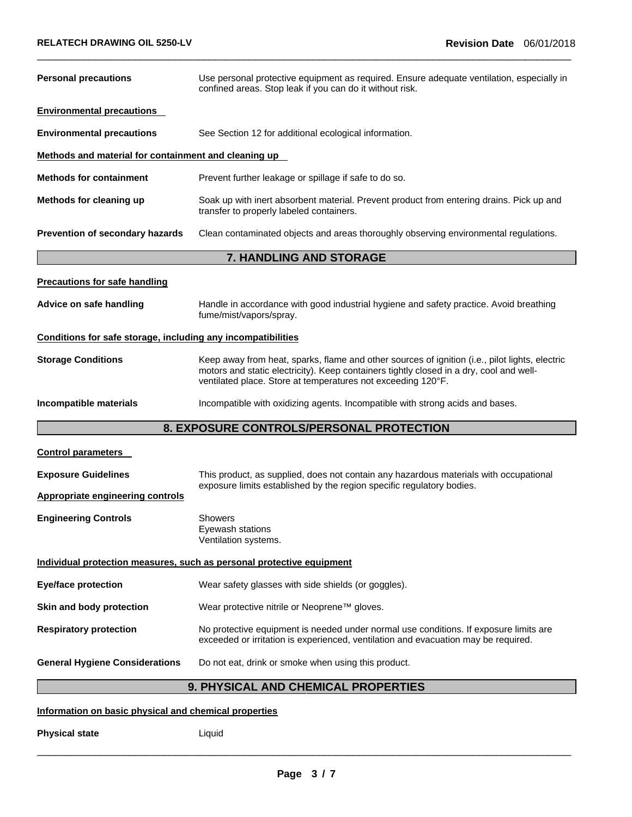| <b>Personal precautions</b>                                  | Use personal protective equipment as required. Ensure adequate ventilation, especially in<br>confined areas. Stop leak if you can do it without risk.                                                                                                     |  |  |  |
|--------------------------------------------------------------|-----------------------------------------------------------------------------------------------------------------------------------------------------------------------------------------------------------------------------------------------------------|--|--|--|
| <b>Environmental precautions</b>                             |                                                                                                                                                                                                                                                           |  |  |  |
| <b>Environmental precautions</b>                             | See Section 12 for additional ecological information.                                                                                                                                                                                                     |  |  |  |
| Methods and material for containment and cleaning up         |                                                                                                                                                                                                                                                           |  |  |  |
| <b>Methods for containment</b>                               | Prevent further leakage or spillage if safe to do so.                                                                                                                                                                                                     |  |  |  |
| Methods for cleaning up                                      | Soak up with inert absorbent material. Prevent product from entering drains. Pick up and<br>transfer to properly labeled containers.                                                                                                                      |  |  |  |
| Prevention of secondary hazards                              | Clean contaminated objects and areas thoroughly observing environmental regulations.                                                                                                                                                                      |  |  |  |
|                                                              | 7. HANDLING AND STORAGE                                                                                                                                                                                                                                   |  |  |  |
| <b>Precautions for safe handling</b>                         |                                                                                                                                                                                                                                                           |  |  |  |
| Advice on safe handling                                      | Handle in accordance with good industrial hygiene and safety practice. Avoid breathing<br>fume/mist/vapors/spray.                                                                                                                                         |  |  |  |
| Conditions for safe storage, including any incompatibilities |                                                                                                                                                                                                                                                           |  |  |  |
| <b>Storage Conditions</b>                                    | Keep away from heat, sparks, flame and other sources of ignition (i.e., pilot lights, electric<br>motors and static electricity). Keep containers tightly closed in a dry, cool and well-<br>ventilated place. Store at temperatures not exceeding 120°F. |  |  |  |
| Incompatible materials                                       | Incompatible with oxidizing agents. Incompatible with strong acids and bases.                                                                                                                                                                             |  |  |  |
| 8. EXPOSURE CONTROLS/PERSONAL PROTECTION                     |                                                                                                                                                                                                                                                           |  |  |  |
| <b>Control parameters</b>                                    |                                                                                                                                                                                                                                                           |  |  |  |
| <b>Exposure Guidelines</b>                                   | This product, as supplied, does not contain any hazardous materials with occupational                                                                                                                                                                     |  |  |  |
| <b>Appropriate engineering controls</b>                      | exposure limits established by the region specific regulatory bodies.                                                                                                                                                                                     |  |  |  |
| <b>Engineering Controls</b>                                  | Showers<br>Eyewash stations<br>Ventilation systems.                                                                                                                                                                                                       |  |  |  |
|                                                              | Individual protection measures, such as personal protective equipment                                                                                                                                                                                     |  |  |  |
| <b>Eye/face protection</b>                                   | Wear safety glasses with side shields (or goggles).                                                                                                                                                                                                       |  |  |  |
| Skin and body protection                                     | Wear protective nitrile or Neoprene™ gloves.                                                                                                                                                                                                              |  |  |  |
| <b>Respiratory protection</b>                                | No protective equipment is needed under normal use conditions. If exposure limits are<br>exceeded or irritation is experienced, ventilation and evacuation may be required.                                                                               |  |  |  |
| <b>General Hygiene Considerations</b>                        | Do not eat, drink or smoke when using this product.                                                                                                                                                                                                       |  |  |  |
|                                                              | 9. PHYSICAL AND CHEMICAL PROPERTIES                                                                                                                                                                                                                       |  |  |  |
| Information on basic physical and chemical properties        |                                                                                                                                                                                                                                                           |  |  |  |

**Physical state** Liquid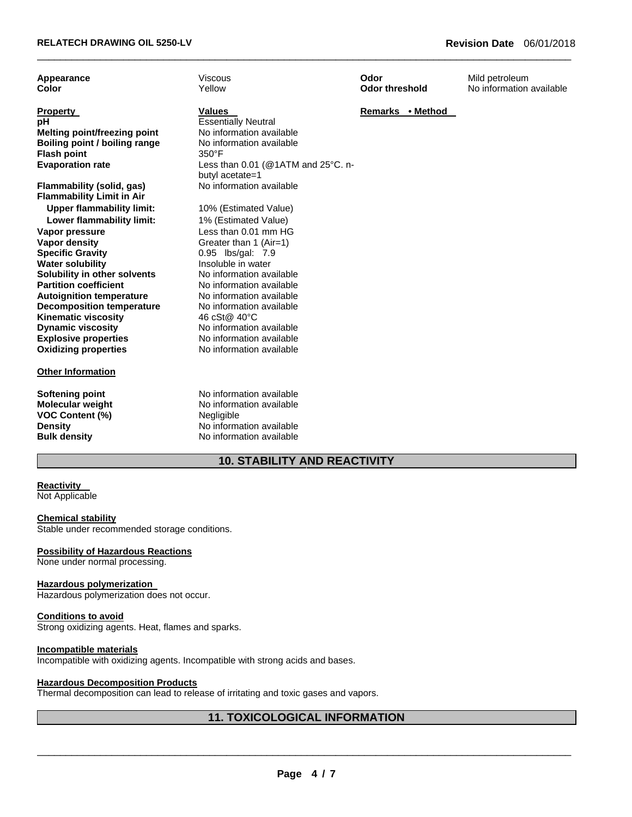| Appearance<br>Color                 | Viscous<br>Yellow                  | Odor<br><b>Odor threshold</b> | Mild petroleum<br>No information available |
|-------------------------------------|------------------------------------|-------------------------------|--------------------------------------------|
|                                     |                                    |                               |                                            |
| <b>Property</b>                     | <b>Values</b>                      | Remarks • Method              |                                            |
| рH                                  | <b>Essentially Neutral</b>         |                               |                                            |
| <b>Melting point/freezing point</b> | No information available           |                               |                                            |
| Boiling point / boiling range       | No information available           |                               |                                            |
| <b>Flash point</b>                  | 350°F                              |                               |                                            |
| <b>Evaporation rate</b>             | Less than 0.01 (@1ATM and 25°C. n- |                               |                                            |
|                                     | butyl acetate=1                    |                               |                                            |
| Flammability (solid, gas)           | No information available           |                               |                                            |
| <b>Flammability Limit in Air</b>    |                                    |                               |                                            |
| <b>Upper flammability limit:</b>    | 10% (Estimated Value)              |                               |                                            |
| Lower flammability limit:           | 1% (Estimated Value)               |                               |                                            |
| Vapor pressure                      | Less than 0.01 mm HG               |                               |                                            |
| <b>Vapor density</b>                | Greater than 1 (Air=1)             |                               |                                            |
| <b>Specific Gravity</b>             | 0.95 lbs/gal: 7.9                  |                               |                                            |
| <b>Water solubility</b>             | Insoluble in water                 |                               |                                            |
| Solubility in other solvents        | No information available           |                               |                                            |
| <b>Partition coefficient</b>        | No information available           |                               |                                            |
| <b>Autoignition temperature</b>     | No information available           |                               |                                            |
| <b>Decomposition temperature</b>    | No information available           |                               |                                            |
| <b>Kinematic viscosity</b>          | 46 cSt@ 40°C                       |                               |                                            |
| <b>Dynamic viscosity</b>            | No information available           |                               |                                            |
| <b>Explosive properties</b>         | No information available           |                               |                                            |
| <b>Oxidizing properties</b>         | No information available           |                               |                                            |
| <b>Other Information</b>            |                                    |                               |                                            |
| <b>Softening point</b>              | No information available           |                               |                                            |
| Molecular weight                    | No information available           |                               |                                            |
| <b>VOC Content (%)</b>              | Negligible                         |                               |                                            |
| <b>Density</b>                      | No information available           |                               |                                            |
| <b>Bulk density</b>                 | No information available           |                               |                                            |
| <b>10. STABILITY AND REACTIVITY</b> |                                    |                               |                                            |

# **Reactivity**

Not Applicable

#### **Chemical stability**

Stable under recommended storage conditions.

# **Possibility of Hazardous Reactions**

None under normal processing.

#### **Hazardous polymerization**

Hazardous polymerization does not occur.

#### **Conditions to avoid**

Strong oxidizing agents. Heat, flames and sparks.

#### **Incompatible materials**

Incompatible with oxidizing agents. Incompatible with strong acids and bases.

# **Hazardous Decomposition Products**

Thermal decomposition can lead to release of irritating and toxic gases and vapors.

# **11. TOXICOLOGICAL INFORMATION**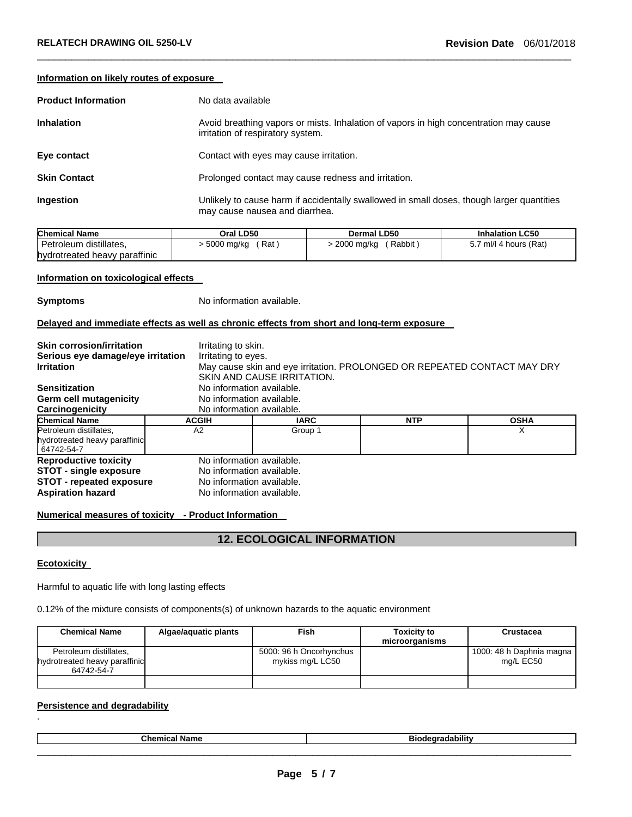|  |  | Information on likely routes of exposure |  |
|--|--|------------------------------------------|--|
|--|--|------------------------------------------|--|

| <b>Product Information</b> | No data available                                                                                                           |
|----------------------------|-----------------------------------------------------------------------------------------------------------------------------|
| <b>Inhalation</b>          | Avoid breathing vapors or mists. Inhalation of vapors in high concentration may cause<br>irritation of respiratory system.  |
| Eye contact                | Contact with eyes may cause irritation.                                                                                     |
| <b>Skin Contact</b>        | Prolonged contact may cause redness and irritation.                                                                         |
| Ingestion                  | Unlikely to cause harm if accidentally swallowed in small doses, though larger quantities<br>may cause nausea and diarrhea. |

| <b>Chemical Name</b>          | Oral LD50             | Dermal LD50                | <b>Inhalation LC50</b> |
|-------------------------------|-----------------------|----------------------------|------------------------|
| Petroleum distillates,        | > 5000 mg/kg<br>(Rat) | ′ Rabbit ,<br>> 2000 mg/kg | 5.7 ml/l 4 hours (Rat) |
| hydrotreated heavy paraffinic |                       |                            |                        |

#### **Information on toxicological effects**

**Symptoms** No information available.

# **Delayed and immediate effects as well as chronic effects from short and long-term exposure**

| <b>Skin corrosion/irritation</b><br>Serious eye damage/eye irritation<br><b>Irritation</b><br><b>Sensitization</b>    |                                                                                                                  | Irritating to skin.<br>Irritating to eyes.<br>May cause skin and eye irritation. PROLONGED OR REPEATED CONTACT MAY DRY<br>SKIN AND CAUSE IRRITATION.<br>No information available. |            |             |
|-----------------------------------------------------------------------------------------------------------------------|------------------------------------------------------------------------------------------------------------------|-----------------------------------------------------------------------------------------------------------------------------------------------------------------------------------|------------|-------------|
| Germ cell mutagenicity                                                                                                | No information available.                                                                                        |                                                                                                                                                                                   |            |             |
| Carcinogenicity                                                                                                       | No information available.                                                                                        |                                                                                                                                                                                   |            |             |
| <b>Chemical Name</b>                                                                                                  | <b>ACGIH</b>                                                                                                     | <b>IARC</b>                                                                                                                                                                       | <b>NTP</b> | <b>OSHA</b> |
| Petroleum distillates.<br>hydrotreated heavy paraffinic<br>64742-54-7                                                 | A <sub>2</sub>                                                                                                   | х<br>Group 1                                                                                                                                                                      |            |             |
| <b>Reproductive toxicity</b><br><b>STOT - single exposure</b><br>STOT - repeated exposure<br><b>Aspiration hazard</b> | No information available.<br>No information available.<br>No information available.<br>No information available. |                                                                                                                                                                                   |            |             |

# **Numerical measures of toxicity - Product Information**

# **12. ECOLOGICAL INFORMATION**

# **Ecotoxicity**

.

Harmful to aquatic life with long lasting effects

0.12% of the mixture consists of components(s) of unknown hazards to the aquatic environment

| <b>Chemical Name</b>                                                  | Algae/aguatic plants | <b>Fish</b>                                 | <b>Toxicity to</b><br>microorganisms | <b>Crustacea</b>                      |
|-----------------------------------------------------------------------|----------------------|---------------------------------------------|--------------------------------------|---------------------------------------|
| Petroleum distillates,<br>hydrotreated heavy paraffinic<br>64742-54-7 |                      | 5000: 96 h Oncorhynchus<br>mykiss mg/L LC50 |                                      | 1000: 48 h Daphnia magna<br>mg/L EC50 |
|                                                                       |                      |                                             |                                      |                                       |

# **Persistence and degradability**

| $\mathbf{A}$ | $- - -$<br>. |
|--------------|--------------|
|              |              |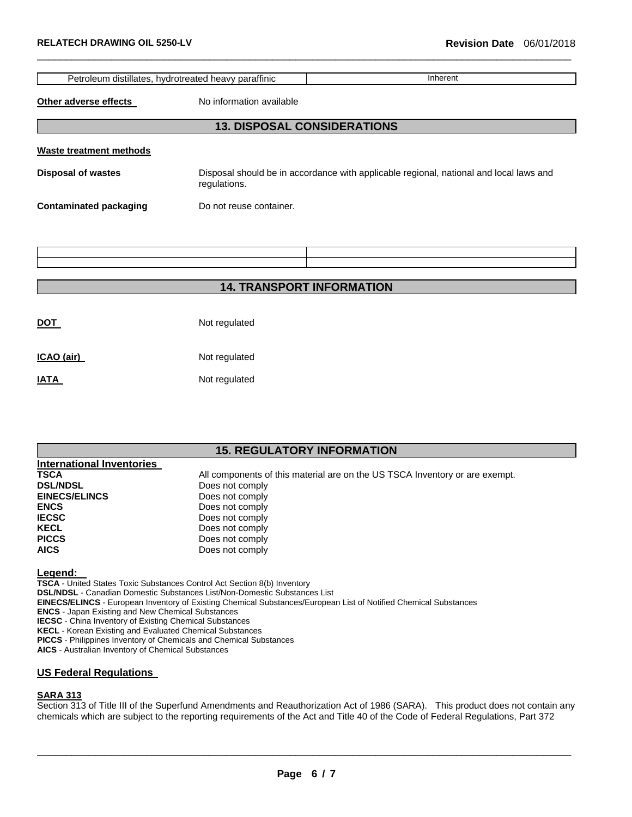|                                | Petroleum distillates, hydrotreated heavy paraffinic | Inherent                                                                               |
|--------------------------------|------------------------------------------------------|----------------------------------------------------------------------------------------|
| Other adverse effects          | No information available                             |                                                                                        |
|                                |                                                      | <b>13. DISPOSAL CONSIDERATIONS</b>                                                     |
| <b>Waste treatment methods</b> |                                                      |                                                                                        |
| <b>Disposal of wastes</b>      | regulations.                                         | Disposal should be in accordance with applicable regional, national and local laws and |
| <b>Contaminated packaging</b>  | Do not reuse container.                              |                                                                                        |
|                                |                                                      |                                                                                        |
|                                |                                                      |                                                                                        |
|                                |                                                      |                                                                                        |
|                                |                                                      | <b>14. TRANSPORT INFORMATION</b>                                                       |
|                                |                                                      |                                                                                        |
| <b>DOT</b>                     | Not regulated                                        |                                                                                        |

| ICAO (air) | Not regulated |
|------------|---------------|
|------------|---------------|

**IATA** Not regulated

# **15. REGULATORY INFORMATION**

| International Inventories |                                                                             |
|---------------------------|-----------------------------------------------------------------------------|
| <b>TSCA</b>               | All components of this material are on the US TSCA Inventory or are exempt. |
| <b>DSL/NDSL</b>           | Does not comply                                                             |
| <b>EINECS/ELINCS</b>      | Does not comply                                                             |
| <b>ENCS</b>               | Does not comply                                                             |
| <b>IECSC</b>              | Does not comply                                                             |
| <b>KECL</b>               | Does not comply                                                             |
| <b>PICCS</b>              | Does not comply                                                             |
| <b>AICS</b>               | Does not comply                                                             |

**Legend:** 

**TSCA** - United States Toxic Substances Control Act Section 8(b) Inventory **DSL/NDSL** - Canadian Domestic Substances List/Non-Domestic Substances List **EINECS/ELINCS** - European Inventory of Existing Chemical Substances/European List of Notified Chemical Substances **ENCS** - Japan Existing and New Chemical Substances **IECSC** - China Inventory of Existing Chemical Substances **KECL** - Korean Existing and Evaluated Chemical Substances **PICCS** - Philippines Inventory of Chemicals and Chemical Substances **AICS** - Australian Inventory of Chemical Substances

# **US Federal Regulations**

# **SARA 313**

Section 313 of Title III of the Superfund Amendments and Reauthorization Act of 1986 (SARA). This product does not contain any chemicals which are subject to the reporting requirements of the Act and Title 40 of the Code of Federal Regulations, Part 372